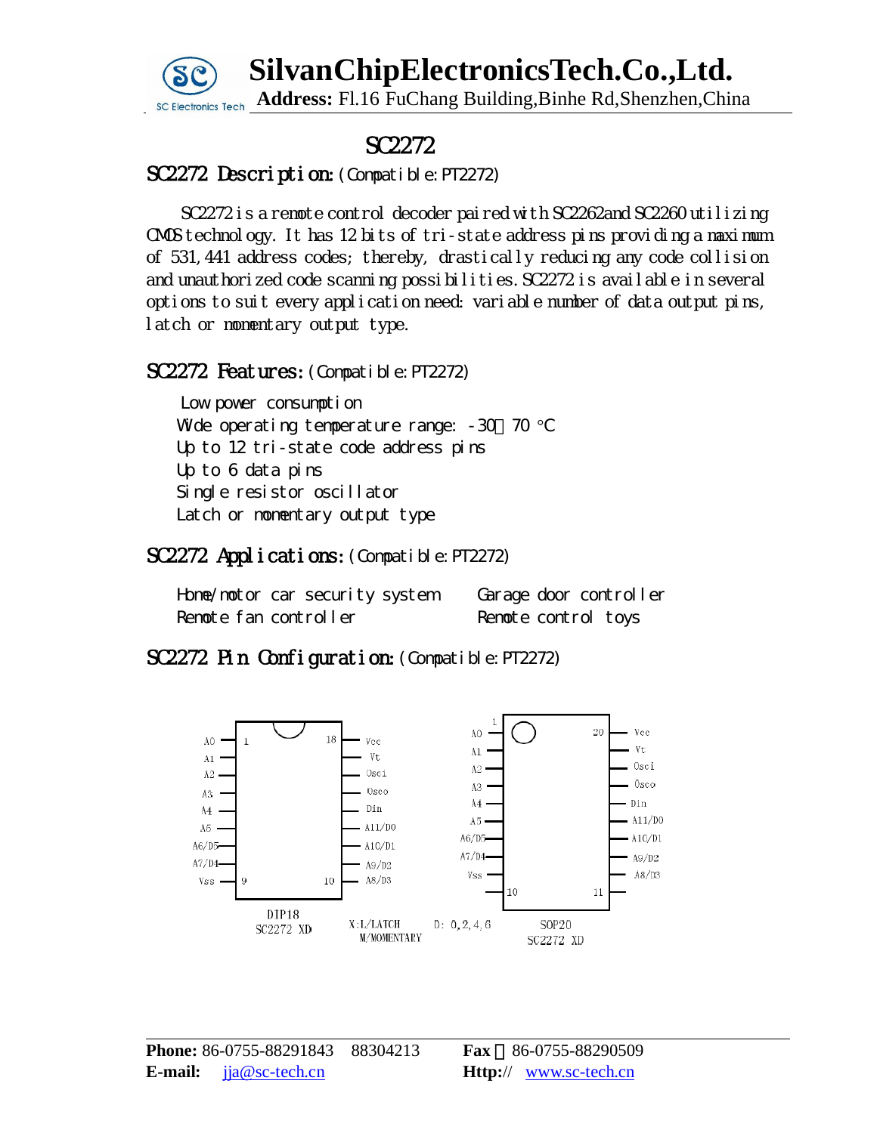# **SC** SilvanChipElectronicsTech.Co.,Ltd. Address: Fl.16 FuChang Building,Binhe Rd,Shenzhen,China



## SC2272

### SC2272 Description: (Compatible: PT2272)

SC2272 is a remote control decoder paired with SC2262and SC2260 utilizing CMOS technology. It has 12 bits of tri-state address pins providing a maximum of 531,441 address codes; thereby, drastically reducing any code collision and unauthorized code scanning possibilities.SC2272 is available in several options to suit every application need: variable number of data output pins, latch or momentary output type.

#### SC2272 Features: (Compatible: PT2272)

Low power consumption Wide operating temperature range:  $-30$   $70$   $^{\circ}$ C Up to 12 tri-state code address pins Up to 6 data pins Single resistor oscillator Latch or momentary output type

### SC2272 Applications: (Compatible: PT2272)

Home/motor car security system Garage door controller Remote fan controller Remote control toys

### SC2272 Pin Configuration: (Compatible: PT2272)

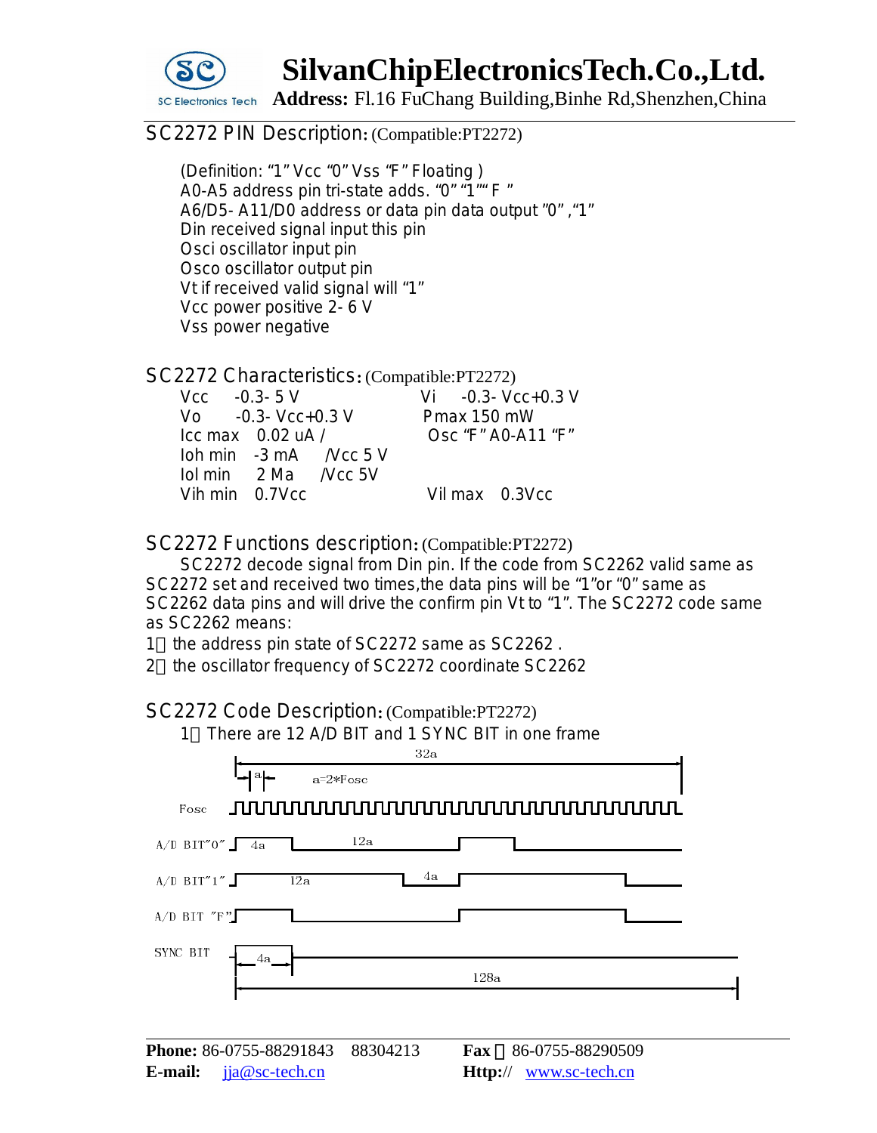

# **SC**<br>SC Electronics Tech Address: Fl.16 FuChang Building,Binhe Rd,Shenzhen,China

#### SC2272 PIN Description: (Compatible: PT2272)

(Definition: "1" Vcc "0" Vss "F" Floating ) A0-A5 address pin tri-state adds. "0" "1" F " A6/D5- A11/D0 address or data pin data output "0" ,"1" Din received signal input this pin Osci oscillator input pin Osco oscillator output pin Vt if received valid signal will "1" Vcc power positive 2- 6 V Vss power negative

SC2272 Characteristics:(Compatible:PT2272)

| $Vcc = 0.3 - 5 V$                     |  |                                  |                    |  | $Vi$ $-0.3$ $Vcc + 0.3$ V |
|---------------------------------------|--|----------------------------------|--------------------|--|---------------------------|
| $\sqrt{6}$ -0.3 $\sqrt{6}$ -0.3 V     |  |                                  | Pmax 150 mW        |  |                           |
| $\text{Lcc}$ max 0.02 uA /            |  |                                  | Osc "F" A0-A11 "F" |  |                           |
|                                       |  | $10h \text{ min}$ -3 mA /Vcc 5 V |                    |  |                           |
| $10 \text{ min}$ 2 Ma <i>N</i> cc 5 V |  |                                  |                    |  |                           |
| Vih min 0.7Vcc                        |  |                                  |                    |  | Vil max 0.3Vcc            |

SC2272 Functions description:(Compatible:PT2272)

SC2272 decode signal from Din pin. If the code from SC2262 valid same as SC2272 set and received two times,the data pins will be "1"or "0" same as SC2262 data pins and will drive the confirm pin Vt to "1". The SC2272 code same as SC2262 means:

1 the address pin state of SC2272 same as SC2262 .

2 the oscillator frequency of SC2272 coordinate SC2262

SC2272 Code Description:(Compatible:PT2272)

1 There are 12 A/D BIT and 1 SYNC BIT in one frame

| 32a                               |                                          |  |  |  |
|-----------------------------------|------------------------------------------|--|--|--|
| $a_{\mathbf{z}}$<br>$a = 2*F$ osc |                                          |  |  |  |
| Fosc                              | <u>JUUUUUUUUUUUUUUUUUUUUUUUUUUUUUUUU</u> |  |  |  |
| 12a<br>$A/D$ BIT"0" $4a$          |                                          |  |  |  |
| 4a<br>$A/D$ BIT"1"<br>12a         |                                          |  |  |  |
| A/D BIT $"F"$                     |                                          |  |  |  |
| SYNC BIT<br>4a                    |                                          |  |  |  |
|                                   | 128a                                     |  |  |  |
|                                   |                                          |  |  |  |